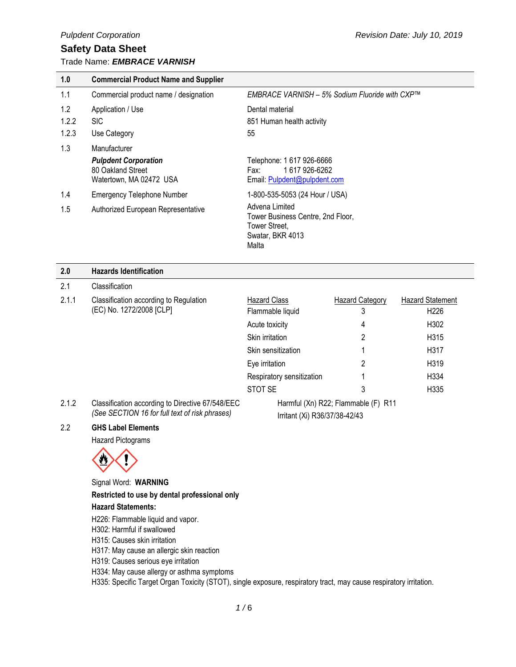Trade Name: *EMBRACE VARNISH* 

| 1.0   | <b>Commercial Product Name and Supplier</b>                                 |                                                                                                   |
|-------|-----------------------------------------------------------------------------|---------------------------------------------------------------------------------------------------|
| 1.1   | Commercial product name / designation                                       | EMBRACE VARNISH – 5% Sodium Fluoride with CXP™                                                    |
| 1.2   | Application / Use                                                           | Dental material                                                                                   |
| 1.2.2 | <b>SIC</b>                                                                  | 851 Human health activity                                                                         |
| 1.2.3 | Use Category                                                                | 55                                                                                                |
| 1.3   | Manufacturer                                                                |                                                                                                   |
|       | <b>Pulpdent Corporation</b><br>80 Oakland Street<br>Watertown, MA 02472 USA | Telephone: 1 617 926-6666<br>1617926-6262<br>Fax:<br>Email: Pulpdent@pulpdent.com                 |
| 1.4   | <b>Emergency Telephone Number</b>                                           | 1-800-535-5053 (24 Hour / USA)                                                                    |
| 1.5   | Authorized European Representative                                          | Advena Limited<br>Tower Business Centre, 2nd Floor,<br>Tower Street,<br>Swatar, BKR 4013<br>Malta |

| 2.0   | <b>Hazards Identification</b>                                                                      |                               |                                     |                         |
|-------|----------------------------------------------------------------------------------------------------|-------------------------------|-------------------------------------|-------------------------|
| 2.1   | Classification                                                                                     |                               |                                     |                         |
| 2.1.1 | Classification according to Regulation<br>(EC) No. 1272/2008 [CLP]                                 | <b>Hazard Class</b>           | <b>Hazard Category</b>              | <b>Hazard Statement</b> |
|       |                                                                                                    | Flammable liquid              | 3                                   | H <sub>226</sub>        |
|       |                                                                                                    | Acute toxicity                | 4                                   | H302                    |
|       |                                                                                                    | Skin irritation               | 2                                   | H315                    |
|       |                                                                                                    | Skin sensitization            |                                     | H317                    |
|       |                                                                                                    | Eye irritation                | 2                                   | H <sub>3</sub> 19       |
|       |                                                                                                    | Respiratory sensitization     |                                     | H334                    |
|       |                                                                                                    | STOT SE                       | 3                                   | H335                    |
| 2.1.2 | Classification according to Directive 67/548/EEC<br>(See SECTION 16 for full text of risk phrases) | Irritant (Xi) R36/37/38-42/43 | Harmful (Xn) R22; Flammable (F) R11 |                         |

#### 2.2 **GHS Label Elements**

Hazard Pictograms



Signal Word: **WARNING**

**Restricted to use by dental professional only**

#### **Hazard Statements:**

H226: Flammable liquid and vapor.

H302: Harmful if swallowed

H315: Causes skin irritation

H317: May cause an allergic skin reaction

H319: Causes serious eye irritation

H334: May cause allergy or asthma symptoms

H335: Specific Target Organ Toxicity (STOT), single exposure, respiratory tract, may cause respiratory irritation.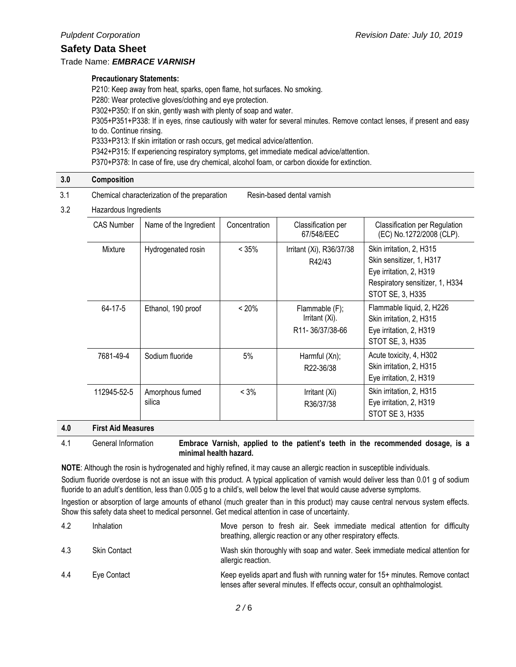#### Trade Name: *EMBRACE VARNISH*

#### **Precautionary Statements:**

P210: Keep away from heat, sparks, open flame, hot surfaces. No smoking. P280: Wear protective gloves/clothing and eye protection. P302+P350: If on skin, gently wash with plenty of soap and water. P305+P351+P338: If in eyes, rinse cautiously with water for several minutes. Remove contact lenses, if present and easy to do. Continue rinsing. P333+P313: If skin irritation or rash occurs, get medical advice/attention. P342+P315: If experiencing respiratory symptoms, get immediate medical advice/attention. P370+P378: In case of fire, use dry chemical, alcohol foam, or carbon dioxide for extinction.

| 3.0 | Composition |  |  |
|-----|-------------|--|--|
|     |             |  |  |

- 3.1 Chemical characterization of the preparation Resin-based dental varnish
- 3.2 Hazardous Ingredients

| <b>CAS Number</b> | Name of the Ingredient    | Concentration | Classification per<br>67/548/EEC                                 | <b>Classification per Regulation</b><br>(EC) No.1272/2008 (CLP).                                                                       |
|-------------------|---------------------------|---------------|------------------------------------------------------------------|----------------------------------------------------------------------------------------------------------------------------------------|
| Mixture           | Hydrogenated rosin        | $< 35\%$      | Irritant (Xi), R36/37/38<br>R42/43                               | Skin irritation, 2, H315<br>Skin sensitizer, 1, H317<br>Eye irritation, 2, H319<br>Respiratory sensitizer, 1, H334<br>STOT SE, 3, H335 |
| 64-17-5           | Ethanol, 190 proof        | $< 20\%$      | Flammable (F);<br>Irritant (Xi).<br>R <sub>11</sub> -36/37/38-66 | Flammable liquid, 2, H226<br>Skin irritation, 2, H315<br>Eye irritation, 2, H319<br>STOT SE, 3, H335                                   |
| 7681-49-4         | Sodium fluoride           | 5%            | Harmful (Xn);<br>R22-36/38                                       | Acute toxicity, 4, H302<br>Skin irritation, 2, H315<br>Eye irritation, 2, H319                                                         |
| 112945-52-5       | Amorphous fumed<br>silica | $< 3\%$       | Irritant (Xi)<br>R36/37/38                                       | Skin irritation, 2, H315<br>Eye irritation, 2, H319<br>STOT SE 3, H335                                                                 |

#### **4.0 First Aid Measures**

4.1 General Information **Embrace Varnish, applied to the patient's teeth in the recommended dosage, is a minimal health hazard.** 

**NOTE**: Although the rosin is hydrogenated and highly refined, it may cause an allergic reaction in susceptible individuals.

Sodium fluoride overdose is not an issue with this product. A typical application of varnish would deliver less than 0.01 g of sodium fluoride to an adult's dentition, less than 0.005 g to a child's, well below the level that would cause adverse symptoms.

Ingestion or absorption of large amounts of ethanol (much greater than in this product) may cause central nervous system effects. Show this safety data sheet to medical personnel. Get medical attention in case of uncertainty.

| 4.2 | Inhalation          | Move person to fresh air. Seek immediate medical attention for difficulty<br>breathing, allergic reaction or any other respiratory effects.                    |
|-----|---------------------|----------------------------------------------------------------------------------------------------------------------------------------------------------------|
| 4.3 | <b>Skin Contact</b> | Wash skin thoroughly with soap and water. Seek immediate medical attention for<br>allergic reaction.                                                           |
| 4.4 | Eye Contact         | Keep eyelids apart and flush with running water for 15+ minutes. Remove contact<br>lenses after several minutes. If effects occur, consult an ophthalmologist. |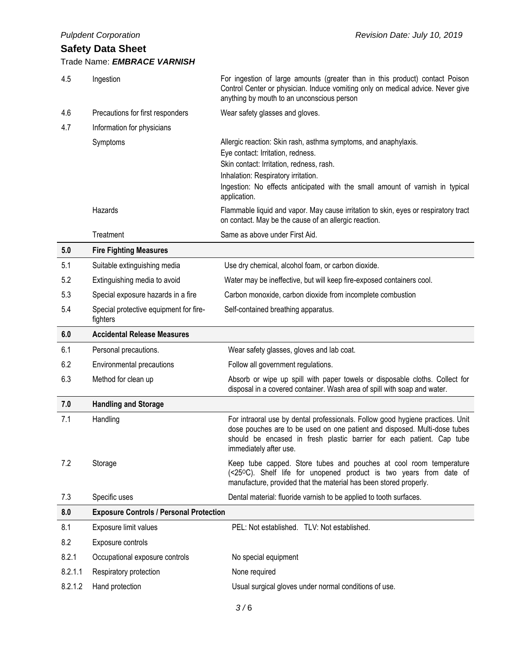| 4.5     | Ingestion                                          | For ingestion of large amounts (greater than in this product) contact Poison<br>Control Center or physician. Induce vomiting only on medical advice. Never give<br>anything by mouth to an unconscious person                                                  |
|---------|----------------------------------------------------|----------------------------------------------------------------------------------------------------------------------------------------------------------------------------------------------------------------------------------------------------------------|
| 4.6     | Precautions for first responders                   | Wear safety glasses and gloves.                                                                                                                                                                                                                                |
| 4.7     | Information for physicians                         |                                                                                                                                                                                                                                                                |
|         | Symptoms                                           | Allergic reaction: Skin rash, asthma symptoms, and anaphylaxis.<br>Eye contact: Irritation, redness.                                                                                                                                                           |
|         |                                                    | Skin contact: Irritation, redness, rash.                                                                                                                                                                                                                       |
|         |                                                    | Inhalation: Respiratory irritation.                                                                                                                                                                                                                            |
|         |                                                    | Ingestion: No effects anticipated with the small amount of varnish in typical<br>application.                                                                                                                                                                  |
|         | Hazards                                            | Flammable liquid and vapor. May cause irritation to skin, eyes or respiratory tract<br>on contact. May be the cause of an allergic reaction.                                                                                                                   |
|         | Treatment                                          | Same as above under First Aid.                                                                                                                                                                                                                                 |
| 5.0     | <b>Fire Fighting Measures</b>                      |                                                                                                                                                                                                                                                                |
| 5.1     | Suitable extinguishing media                       | Use dry chemical, alcohol foam, or carbon dioxide.                                                                                                                                                                                                             |
| 5.2     | Extinguishing media to avoid                       | Water may be ineffective, but will keep fire-exposed containers cool.                                                                                                                                                                                          |
| 5.3     | Special exposure hazards in a fire                 | Carbon monoxide, carbon dioxide from incomplete combustion                                                                                                                                                                                                     |
| 5.4     | Special protective equipment for fire-<br>fighters | Self-contained breathing apparatus.                                                                                                                                                                                                                            |
| 6.0     | <b>Accidental Release Measures</b>                 |                                                                                                                                                                                                                                                                |
|         |                                                    |                                                                                                                                                                                                                                                                |
| 6.1     | Personal precautions.                              | Wear safety glasses, gloves and lab coat.                                                                                                                                                                                                                      |
| 6.2     | Environmental precautions                          | Follow all government regulations.                                                                                                                                                                                                                             |
| 6.3     | Method for clean up                                | Absorb or wipe up spill with paper towels or disposable cloths. Collect for<br>disposal in a covered container. Wash area of spill with soap and water.                                                                                                        |
| 7.0     | <b>Handling and Storage</b>                        |                                                                                                                                                                                                                                                                |
| 7.1     | Handling                                           | For intraoral use by dental professionals. Follow good hygiene practices. Unit<br>dose pouches are to be used on one patient and disposed. Multi-dose tubes<br>should be encased in fresh plastic barrier for each patient. Cap tube<br>immediately after use. |
| 7.2     | Storage                                            | Keep tube capped. Store tubes and pouches at cool room temperature<br>(<25°C). Shelf life for unopened product is two years from date of<br>manufacture, provided that the material has been stored properly.                                                  |
| 7.3     | Specific uses                                      | Dental material: fluoride varnish to be applied to tooth surfaces.                                                                                                                                                                                             |
| 8.0     | <b>Exposure Controls / Personal Protection</b>     |                                                                                                                                                                                                                                                                |
| 8.1     | Exposure limit values                              | PEL: Not established. TLV: Not established.                                                                                                                                                                                                                    |
| 8.2     | Exposure controls                                  |                                                                                                                                                                                                                                                                |
| 8.2.1   | Occupational exposure controls                     | No special equipment                                                                                                                                                                                                                                           |
| 8.2.1.1 | Respiratory protection                             | None required                                                                                                                                                                                                                                                  |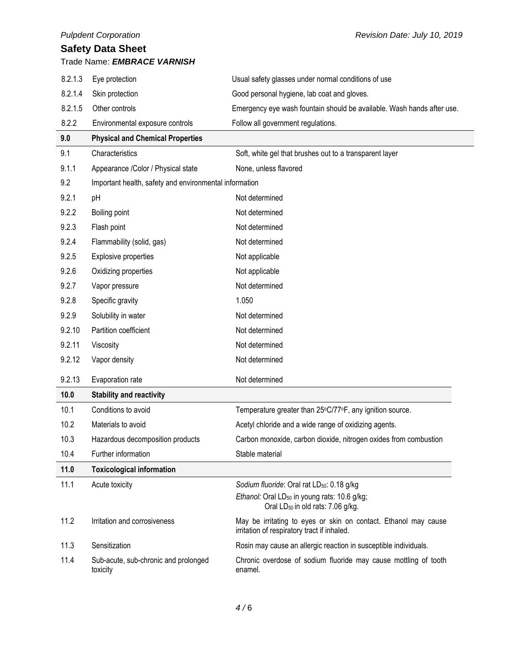|         | <b>Pulpdent Corporation</b>                            | Revision Date: July 10, 2019                                                                                   |
|---------|--------------------------------------------------------|----------------------------------------------------------------------------------------------------------------|
|         | <b>Safety Data Sheet</b>                               |                                                                                                                |
|         | Trade Name: EMBRACE VARNISH                            |                                                                                                                |
| 8.2.1.3 | Eye protection                                         | Usual safety glasses under normal conditions of use                                                            |
| 8.2.1.4 | Skin protection                                        | Good personal hygiene, lab coat and gloves.                                                                    |
| 8.2.1.5 | Other controls                                         | Emergency eye wash fountain should be available. Wash hands after use.                                         |
| 8.2.2   | Environmental exposure controls                        | Follow all government regulations.                                                                             |
| 9.0     | <b>Physical and Chemical Properties</b>                |                                                                                                                |
| 9.1     | Characteristics                                        | Soft, white gel that brushes out to a transparent layer                                                        |
| 9.1.1   | Appearance /Color / Physical state                     | None, unless flavored                                                                                          |
| 9.2     | Important health, safety and environmental information |                                                                                                                |
| 9.2.1   | pH                                                     | Not determined                                                                                                 |
| 9.2.2   | Boiling point                                          | Not determined                                                                                                 |
| 9.2.3   | Flash point                                            | Not determined                                                                                                 |
| 9.2.4   | Flammability (solid, gas)                              | Not determined                                                                                                 |
| 9.2.5   | Explosive properties                                   | Not applicable                                                                                                 |
| 9.2.6   | Oxidizing properties                                   | Not applicable                                                                                                 |
| 9.2.7   | Vapor pressure                                         | Not determined                                                                                                 |
| 9.2.8   | Specific gravity                                       | 1.050                                                                                                          |
| 9.2.9   | Solubility in water                                    | Not determined                                                                                                 |
| 9.2.10  | Partition coefficient                                  | Not determined                                                                                                 |
| 9.2.11  | Viscosity                                              | Not determined                                                                                                 |
| 9.2.12  | Vapor density                                          | Not determined                                                                                                 |
| 9.2.13  | Evaporation rate                                       | Not determined                                                                                                 |
| 10.0    | Stability and reactivity                               |                                                                                                                |
| 10.1    | Conditions to avoid                                    | Temperature greater than 25°C/77°F, any ignition source.                                                       |
| 10.2    | Materials to avoid                                     | Acetyl chloride and a wide range of oxidizing agents.                                                          |
| 10.3    | Hazardous decomposition products                       | Carbon monoxide, carbon dioxide, nitrogen oxides from combustion                                               |
| 10.4    | Further information                                    | Stable material                                                                                                |
| 11.0    | <b>Toxicological information</b>                       |                                                                                                                |
| 11.1    | Acute toxicity                                         | Sodium fluoride: Oral rat LD <sub>50</sub> : 0.18 g/kg                                                         |
|         |                                                        | Ethanol: Oral LD <sub>50</sub> in young rats: 10.6 g/kg;<br>Oral LD <sub>50</sub> in old rats: 7.06 g/kg.      |
| 11.2    | Irritation and corrosiveness                           | May be irritating to eyes or skin on contact. Ethanol may cause<br>irritation of respiratory tract if inhaled. |
| 11.3    | Sensitization                                          | Rosin may cause an allergic reaction in susceptible individuals.                                               |
| 11.4    | Sub-acute, sub-chronic and prolonged<br>toxicity       | Chronic overdose of sodium fluoride may cause mottling of tooth<br>enamel.                                     |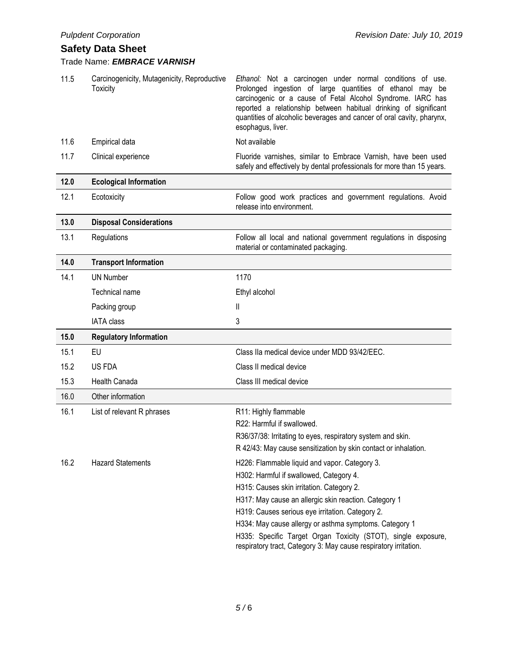## Trade Name: *EMBRACE VARNISH*

| 11.5 | Carcinogenicity, Mutagenicity, Reproductive<br><b>Toxicity</b> | Ethanol: Not a carcinogen under normal conditions of use.<br>Prolonged ingestion of large quantities of ethanol may be<br>carcinogenic or a cause of Fetal Alcohol Syndrome. IARC has<br>reported a relationship between habitual drinking of significant<br>quantities of alcoholic beverages and cancer of oral cavity, pharynx,<br>esophagus, liver. |
|------|----------------------------------------------------------------|---------------------------------------------------------------------------------------------------------------------------------------------------------------------------------------------------------------------------------------------------------------------------------------------------------------------------------------------------------|
| 11.6 | Empirical data                                                 | Not available                                                                                                                                                                                                                                                                                                                                           |
| 11.7 | Clinical experience                                            | Fluoride varnishes, similar to Embrace Varnish, have been used<br>safely and effectively by dental professionals for more than 15 years.                                                                                                                                                                                                                |
| 12.0 | <b>Ecological Information</b>                                  |                                                                                                                                                                                                                                                                                                                                                         |
| 12.1 | Ecotoxicity                                                    | Follow good work practices and government regulations. Avoid<br>release into environment.                                                                                                                                                                                                                                                               |
| 13.0 | <b>Disposal Considerations</b>                                 |                                                                                                                                                                                                                                                                                                                                                         |
| 13.1 | Regulations                                                    | Follow all local and national government regulations in disposing<br>material or contaminated packaging.                                                                                                                                                                                                                                                |
| 14.0 | <b>Transport Information</b>                                   |                                                                                                                                                                                                                                                                                                                                                         |
| 14.1 | <b>UN Number</b>                                               | 1170                                                                                                                                                                                                                                                                                                                                                    |
|      | Technical name                                                 | Ethyl alcohol                                                                                                                                                                                                                                                                                                                                           |
|      | Packing group                                                  | Ш                                                                                                                                                                                                                                                                                                                                                       |
|      |                                                                |                                                                                                                                                                                                                                                                                                                                                         |
|      | <b>IATA class</b>                                              | 3                                                                                                                                                                                                                                                                                                                                                       |
| 15.0 | <b>Regulatory Information</b>                                  |                                                                                                                                                                                                                                                                                                                                                         |
| 15.1 | EU                                                             | Class IIa medical device under MDD 93/42/EEC.                                                                                                                                                                                                                                                                                                           |
| 15.2 | US FDA                                                         | Class II medical device                                                                                                                                                                                                                                                                                                                                 |
| 15.3 | Health Canada                                                  | Class III medical device                                                                                                                                                                                                                                                                                                                                |
| 16.0 | Other information                                              |                                                                                                                                                                                                                                                                                                                                                         |
| 16.1 | List of relevant R phrases                                     | R11: Highly flammable                                                                                                                                                                                                                                                                                                                                   |
|      |                                                                | R22: Harmful if swallowed.                                                                                                                                                                                                                                                                                                                              |
|      |                                                                | R36/37/38: Irritating to eyes, respiratory system and skin.                                                                                                                                                                                                                                                                                             |
|      |                                                                | R 42/43: May cause sensitization by skin contact or inhalation.                                                                                                                                                                                                                                                                                         |
| 16.2 | <b>Hazard Statements</b>                                       | H226: Flammable liquid and vapor. Category 3.                                                                                                                                                                                                                                                                                                           |
|      |                                                                | H302: Harmful if swallowed, Category 4.                                                                                                                                                                                                                                                                                                                 |
|      |                                                                | H315: Causes skin irritation. Category 2.                                                                                                                                                                                                                                                                                                               |
|      |                                                                | H317: May cause an allergic skin reaction. Category 1<br>H319: Causes serious eye irritation. Category 2.                                                                                                                                                                                                                                               |
|      |                                                                | H334: May cause allergy or asthma symptoms. Category 1                                                                                                                                                                                                                                                                                                  |